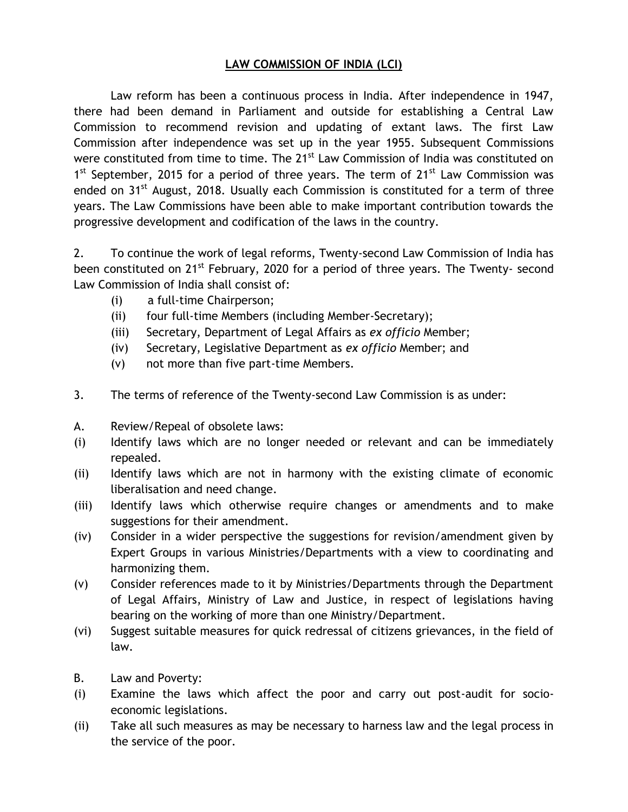## **LAW COMMISSION OF INDIA (LCI)**

Law reform has been a continuous process in India. After independence in 1947, there had been demand in Parliament and outside for establishing a Central Law Commission to recommend revision and updating of extant laws. The first Law Commission after independence was set up in the year 1955. Subsequent Commissions were constituted from time to time. The 21<sup>st</sup> Law Commission of India was constituted on 1<sup>st</sup> September, 2015 for a period of three years. The term of 21<sup>st</sup> Law Commission was ended on 31<sup>st</sup> August, 2018. Usually each Commission is constituted for a term of three years. The Law Commissions have been able to make important contribution towards the progressive development and codification of the laws in the country.

2. To continue the work of legal reforms, Twenty-second Law Commission of India has been constituted on 21<sup>st</sup> February, 2020 for a period of three years. The Twenty- second Law Commission of India shall consist of:

- (i) a full-time Chairperson;
- (ii) four full-time Members (including Member-Secretary);
- (iii) Secretary, Department of Legal Affairs as *ex officio* Member;
- (iv) Secretary, Legislative Department as *ex officio* Member; and
- (v) not more than five part-time Members.
- 3. The terms of reference of the Twenty-second Law Commission is as under:
- A. Review/Repeal of obsolete laws:
- (i) Identify laws which are no longer needed or relevant and can be immediately repealed.
- (ii) Identify laws which are not in harmony with the existing climate of economic liberalisation and need change.
- (iii) Identify laws which otherwise require changes or amendments and to make suggestions for their amendment.
- (iv) Consider in a wider perspective the suggestions for revision/amendment given by Expert Groups in various Ministries/Departments with a view to coordinating and harmonizing them.
- (v) Consider references made to it by Ministries/Departments through the Department of Legal Affairs, Ministry of Law and Justice, in respect of legislations having bearing on the working of more than one Ministry/Department.
- (vi) Suggest suitable measures for quick redressal of citizens grievances, in the field of law.
- B. Law and Poverty:
- (i) Examine the laws which affect the poor and carry out post-audit for socioeconomic legislations.
- (ii) Take all such measures as may be necessary to harness law and the legal process in the service of the poor.